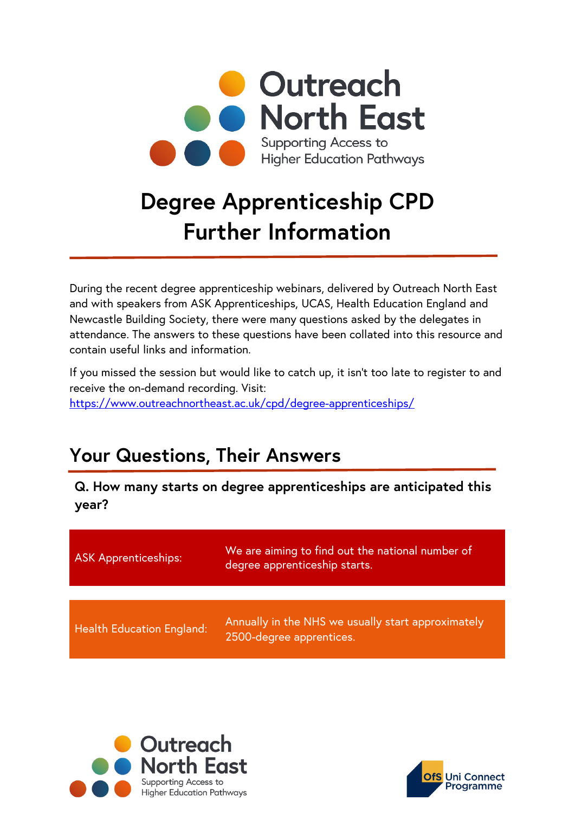

# **Degree Apprenticeship CPD Further Information**

During the recent degree apprenticeship webinars, delivered by Outreach North East and with speakers from ASK Apprenticeships, UCAS, Health Education England and Newcastle Building Society, there were many questions asked by the delegates in attendance. The answers to these questions have been collated into this resource and contain useful links and information.

If you missed the session but would like to catch up, it isn't too late to register to and receive the on-demand recording. Visit: <https://www.outreachnortheast.ac.uk/cpd/degree-apprenticeships/>

## **Your Questions, Their Answers**

**Q. How many starts on degree apprenticeships are anticipated this year?**

| <b>ASK Apprenticeships:</b>      | We are aiming to find out the national number of<br>degree apprenticeship starts. |
|----------------------------------|-----------------------------------------------------------------------------------|
|                                  |                                                                                   |
| <b>Health Education England:</b> | Annually in the NHS we usually start approximately<br>2500-degree apprentices.    |



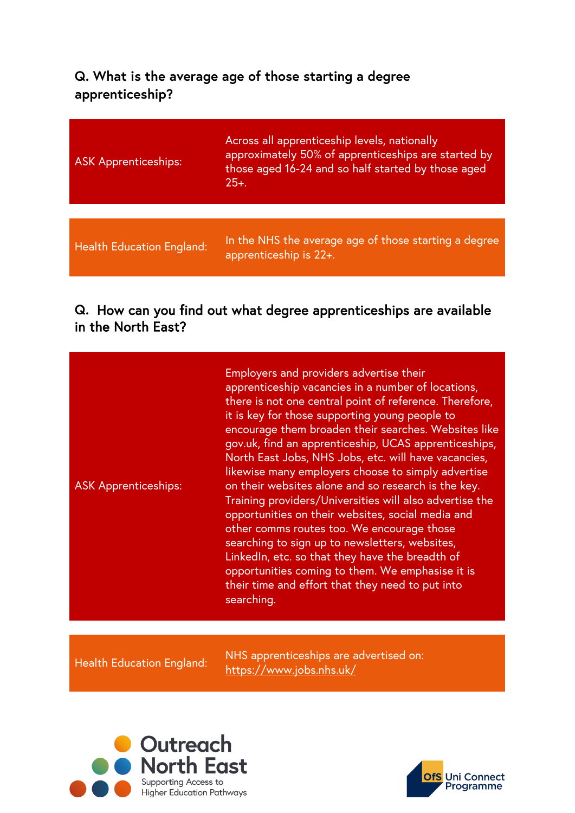#### **Q. What is the average age of those starting a degree apprenticeship?**

| <b>ASK Apprenticeships:</b>      | Across all apprenticeship levels, nationally<br>approximately 50% of apprenticeships are started by<br>those aged 16-24 and so half started by those aged<br>$25+$ . |
|----------------------------------|----------------------------------------------------------------------------------------------------------------------------------------------------------------------|
|                                  |                                                                                                                                                                      |
| <b>Health Education England:</b> | In the NHS the average age of those starting a degree<br>apprenticeship is 22+.                                                                                      |

#### **Q.** How can you find out what degree apprenticeships are available in the North East?

| Employers and providers advertise their<br>apprenticeship vacancies in a number of locations,<br>it is key for those supporting young people to<br>North East Jobs, NHS Jobs, etc. will have vacancies,<br>likewise many employers choose to simply advertise<br>on their websites alone and so research is the key.<br><b>ASK Apprenticeships:</b><br>opportunities on their websites, social media and<br>other comms routes too. We encourage those<br>searching to sign up to newsletters, websites,<br>LinkedIn, etc. so that they have the breadth of<br>opportunities coming to them. We emphasise it is<br>their time and effort that they need to put into<br>searching. |  | there is not one central point of reference. Therefore,<br>encourage them broaden their searches. Websites like<br>gov.uk, find an apprenticeship, UCAS apprenticeships,<br>Training providers/Universities will also advertise the |
|-----------------------------------------------------------------------------------------------------------------------------------------------------------------------------------------------------------------------------------------------------------------------------------------------------------------------------------------------------------------------------------------------------------------------------------------------------------------------------------------------------------------------------------------------------------------------------------------------------------------------------------------------------------------------------------|--|-------------------------------------------------------------------------------------------------------------------------------------------------------------------------------------------------------------------------------------|
|-----------------------------------------------------------------------------------------------------------------------------------------------------------------------------------------------------------------------------------------------------------------------------------------------------------------------------------------------------------------------------------------------------------------------------------------------------------------------------------------------------------------------------------------------------------------------------------------------------------------------------------------------------------------------------------|--|-------------------------------------------------------------------------------------------------------------------------------------------------------------------------------------------------------------------------------------|

Health Education England: NHS apprenticeships are advertised on: <https://www.jobs.nhs.uk/>



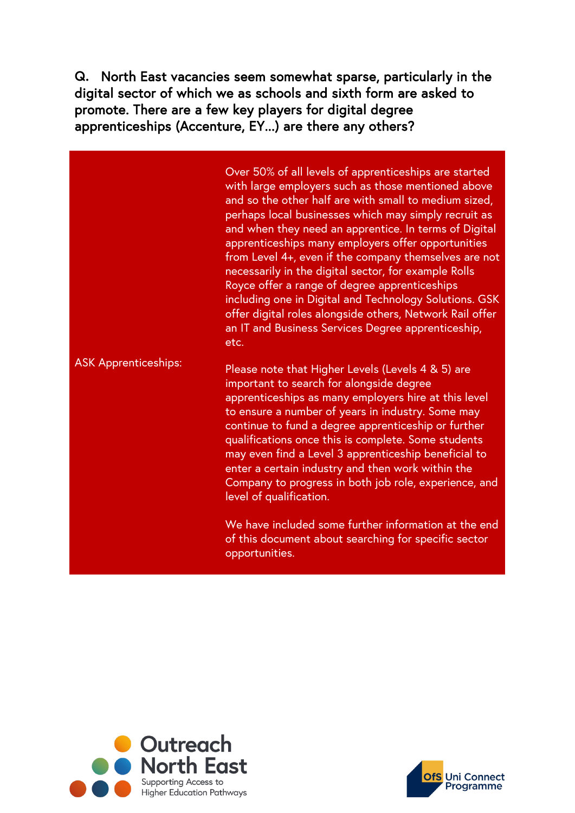**Q.** North East vacancies seem somewhat sparse, particularly in the digital sector of which we as schools and sixth form are asked to promote. There are a few key players for digital degree apprenticeships (Accenture, EY...) are there any others?

ASK Apprenticeships: Over 50% of all levels of apprenticeships are started with large employers such as those mentioned above and so the other half are with small to medium sized, perhaps local businesses which may simply recruit as and when they need an apprentice. In terms of Digital apprenticeships many employers offer opportunities from Level 4+, even if the company themselves are not necessarily in the digital sector, for example Rolls Royce offer a range of degree apprenticeships including one in Digital and Technology Solutions. GSK offer digital roles alongside others, Network Rail offer an IT and Business Services Degree apprenticeship, etc. Please note that Higher Levels (Levels 4 & 5) are important to search for alongside degree apprenticeships as many employers hire at this level to ensure a number of years in industry. Some may continue to fund a degree apprenticeship or further qualifications once this is complete. Some students may even find a Level 3 apprenticeship beneficial to enter a certain industry and then work within the

level of qualification.

We have included some further information at the end of this document about searching for specific sector opportunities.

Company to progress in both job role, experience, and



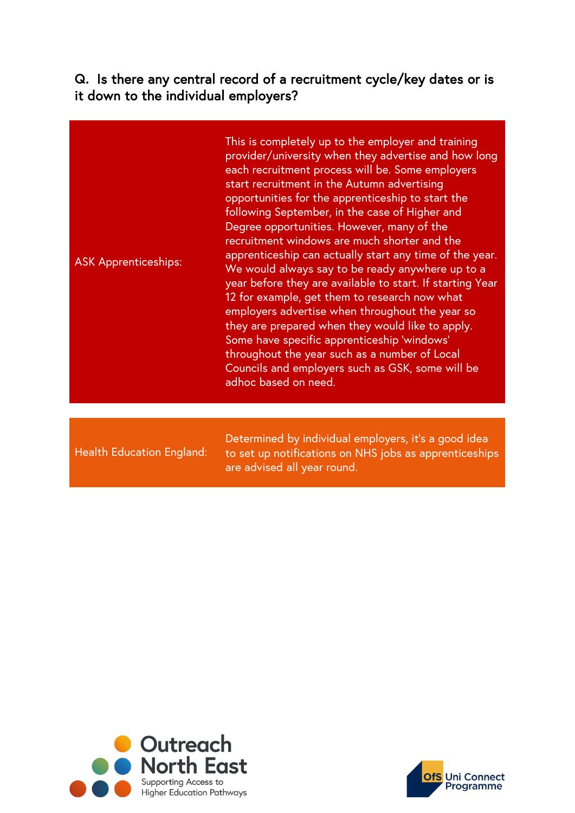**Q.** Is there any central record of a recruitment cycle/key dates or is it down to the individual employers?

|  | <b>ASK Apprenticeships:</b> | This is completely up to the employer and training<br>provider/university when they advertise and how long<br>each recruitment process will be. Some employers<br>start recruitment in the Autumn advertising<br>opportunities for the apprenticeship to start the<br>following September, in the case of Higher and<br>Degree opportunities. However, many of the<br>recruitment windows are much shorter and the<br>apprenticeship can actually start any time of the year.<br>We would always say to be ready anywhere up to a<br>year before they are available to start. If starting Year<br>12 for example, get them to research now what<br>employers advertise when throughout the year so<br>they are prepared when they would like to apply.<br>Some have specific apprenticeship 'windows'<br>throughout the year such as a number of Local<br>Councils and employers such as GSK, some will be<br>adhoc based on need. |
|--|-----------------------------|------------------------------------------------------------------------------------------------------------------------------------------------------------------------------------------------------------------------------------------------------------------------------------------------------------------------------------------------------------------------------------------------------------------------------------------------------------------------------------------------------------------------------------------------------------------------------------------------------------------------------------------------------------------------------------------------------------------------------------------------------------------------------------------------------------------------------------------------------------------------------------------------------------------------------------|
|--|-----------------------------|------------------------------------------------------------------------------------------------------------------------------------------------------------------------------------------------------------------------------------------------------------------------------------------------------------------------------------------------------------------------------------------------------------------------------------------------------------------------------------------------------------------------------------------------------------------------------------------------------------------------------------------------------------------------------------------------------------------------------------------------------------------------------------------------------------------------------------------------------------------------------------------------------------------------------------|

Health Education England:

Determined by individual employers, it's a good idea to set up notifications on NHS jobs as apprenticeships are advised all year round.



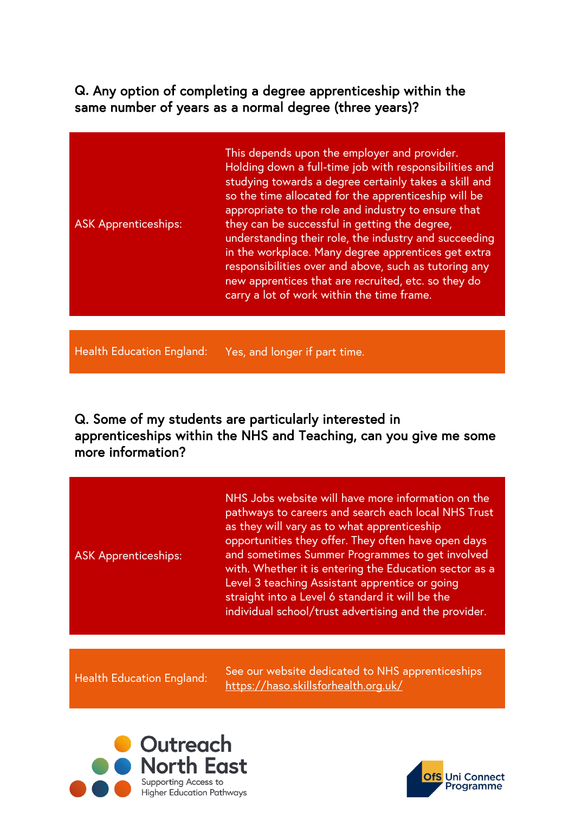**Q.** Any option of completing a degree apprenticeship within the same number of years as a normal degree (three years)?

ASK Apprenticeships: This depends upon the employer and provider. Holding down a full-time job with responsibilities and studying towards a degree certainly takes a skill and so the time allocated for the apprenticeship will be appropriate to the role and industry to ensure that they can be successful in getting the degree, understanding their role, the industry and succeeding in the workplace. Many degree apprentices get extra responsibilities over and above, such as tutoring any new apprentices that are recruited, etc. so they do carry a lot of work within the time frame.

Health Education England: Yes, and longer if part time.

Q. Some of my students are particularly interested in apprenticeships within the NHS and Teaching, can you give me some more information?

ASK Apprenticeships:

NHS Jobs website will have more information on the pathways to careers and search each local NHS Trust as they will vary as to what apprenticeship opportunities they offer. They often have open days and sometimes Summer Programmes to get involved with. Whether it is entering the Education sector as a Level 3 teaching Assistant apprentice or going straight into a Level 6 standard it will be the individual school/trust advertising and the provider.

See our website dedicated to NHS apprenticeships<br>Health Education England: See our website dedicated to NHS apprenticeships [https://haso.skillsforhealth.org.uk/](https://eur03.safelinks.protection.outlook.com/?url=https%3A%2F%2Fhaso.skillsforhealth.org.uk%2F&data=04%7C01%7CSasha.Quigg%40newcastle.ac.uk%7C72614cdaf29b4874c58508da1bd40a08%7C9c5012c9b61644c2a91766814fbe3e87%7C1%7C0%7C637852894750821032%7CUnknown%7CTWFpbGZsb3d8eyJWIjoiMC4wLjAwMDAiLCJQIjoiV2luMzIiLCJBTiI6Ik1haWwiLCJXVCI6Mn0%3D%7C3000&sdata=qG%2BJy681BxjG3il743EM38Ch8fiWuuYPy12E%2Fm5kibM%3D&reserved=0)



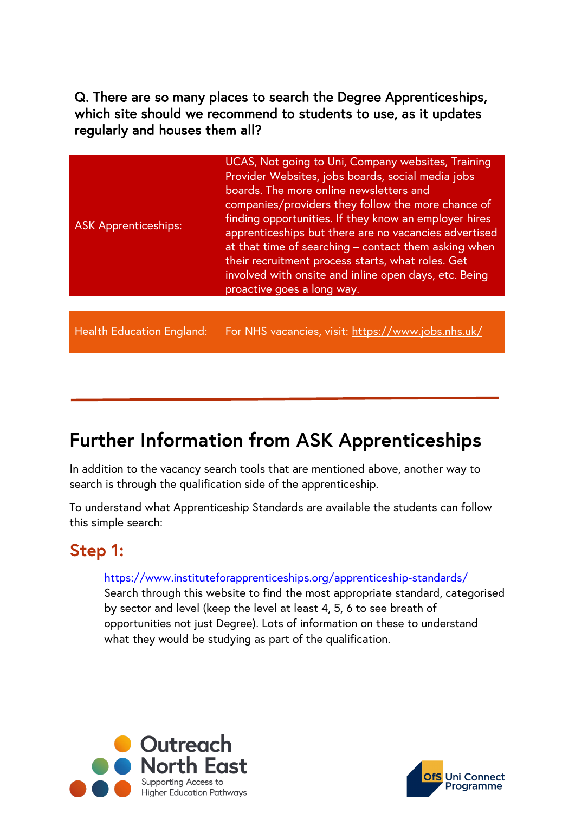Q. There are so many places to search the Degree Apprenticeships, which site should we recommend to students to use, as it updates regularly and houses them all?

| <b>ASK Apprenticeships:</b> | UCAS, Not going to Uni, Company websites, Training<br>Provider Websites, jobs boards, social media jobs<br>boards. The more online newsletters and<br>companies/providers they follow the more chance of<br>finding opportunities. If they know an employer hires<br>apprenticeships but there are no vacancies advertised<br>at that time of searching - contact them asking when<br>their recruitment process starts, what roles. Get<br>involved with onsite and inline open days, etc. Being<br>proactive goes a long way. |
|-----------------------------|--------------------------------------------------------------------------------------------------------------------------------------------------------------------------------------------------------------------------------------------------------------------------------------------------------------------------------------------------------------------------------------------------------------------------------------------------------------------------------------------------------------------------------|
|                             |                                                                                                                                                                                                                                                                                                                                                                                                                                                                                                                                |

Health Education England: For NHS vacancies, visit:<https://www.jobs.nhs.uk/>

## **Further Information from ASK Apprenticeships**

In addition to the vacancy search tools that are mentioned above, another way to search is through the qualification side of the apprenticeship.

To understand what Apprenticeship Standards are available the students can follow this simple search:

## **Step 1:**

#### <https://www.instituteforapprenticeships.org/apprenticeship-standards/> Search through this website to find the most appropriate standard, categorised by sector and level (keep the level at least 4, 5, 6 to see breath of opportunities not just Degree). Lots of information on these to understand what they would be studying as part of the qualification.